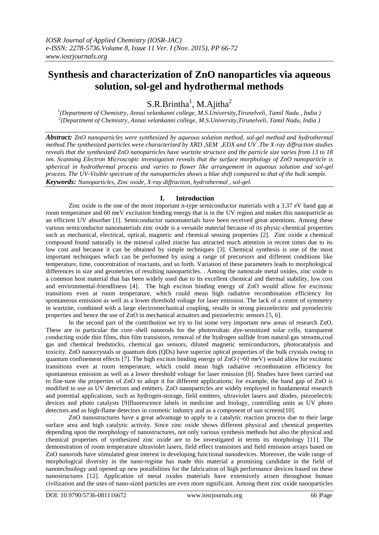# **Synthesis and characterization of ZnO nanoparticles via aqueous solution, sol-gel and hydrothermal methods**

 $S.R.Brintha<sup>1</sup>, M.Ajitha<sup>2</sup>$ 

*1 (Department of Chemistry, Annai velankanni college, M.S.University,Tirunelveli, Tamil Nadu , India ) 2 (Department of Chemistry, Annai velankanni college, M.S.University,Tirunelveli, Tamil Nadu, India )*

*Abstract: ZnO nanoparticles were synthesized by aqueous solution method, sol-gel method and hydrothermal method.The synthesized particles were characterized by XRD ,SEM ,EDX and UV .The X-ray diffraction studies reveals that the synthesized ZnO nanoparticles have wurtzite structure and the particle size varies from 13 to 18 nm. Scanning Electron Microscopic investigation reveals that the surface morphology of ZnO nanoparticle is spherical in hydrothermal process and varies to flower like arrangement in aqueous solution and sol-gel process. The UV-Visible spectrum of the nanoparticles shows a blue shift compared to that of the bulk sample. Keywords: Nanoparticles, Zinc oxide, X-ray diffraction, hydrothermal , sol-gel.*

## **I. Introduction**

Zinc oxide is the one of the most important n-type semiconductor materials with a 3.37 eV band gap at room temperature and 60 meV excitation binding energy that is in the UV region and makes this nanoparticle as an efficient UV absorber [1]. Semiconductor nanomaterials have been received great attentions. Among these various semiconductor nanomaterials zinc oxide is a versatile material because of its physic-chemical properties such as mechanical, electrical, optical, magnetic and chemical sensing properties [2]. Zinc oxide a chemical compound found naturally in the mineral called zincite has attracted much attention in recent times due to its low cost and because it can be obtained by simple techniques [3]. Chemical synthesis is one of the most important techniques which can be performed by using a range of precursors and different conditions like temperature, time, concentration of reactants, and so forth. Variation of these parameters leads to morphological differences in size and geometries of resulting nanoparticles. . Among the nanoscale metal oxides, zinc oxide is a common host material that has been widely used due to its excellent chemical and thermal stability, low cost and environmental-friendliness [4]. The high exciton binding energy of ZnO would allow for excitonic transitions even at room temperature, which could mean high radiative recombination efficiency for spontaneous emission as well as a lower threshold voltage for laser emission. The lack of a centre of symmetry in wurtzite, combined with a large electromechanical coupling, results in strong piezoelectric and pyroelectric properties and hence the use of ZnO in mechanical actuators and piezoelectric sensors [5, 6].

In the second part of the contribution we try to list some very important new areas of research ZnO. These are in particular the core–shell nanorods for the photovoltaic dye-sensitized solar cells, transparent conducting oxide thin films, thin film transistors, removal of the hydrogen sulfide from natural gas streams,coal gas and chemical feedstocks, chemical gas sensors, diluted magnetic semiconductors, photocatalysis and toxicity. ZnO nanocrystals or quantum dots (QDs) have superior optical properties of the bulk crystals owing to quantum confinement effects [7]. The high exciton binding energy of  $ZnO$  (~60 meV) would allow for excitonic transitions even at room temperature, which could mean high radiative recombination efficiency for spontaneous emission as well as a lower threshold voltage for laser emission [8]. Studies have been carried out to fine-tune the properties of ZnO to adopt it for different applications; for example, the band gap of ZnO is modified to use as UV detectors and emitters. ZnO nanoparticles are widely employed in fundamental research and potential applications, such as hydrogen-storage, field emitters, ultraviolet lasers and diodes, piezoelectric devices and photo catalysts [9]fluorescence labels in medicine and biology, controlling units as UV photo detectors and as high-flame detectors in cosmetic industry and as a component of sun screens[10].

ZnO nanostructures have a great advantage to apply to a catalytic reaction process due to their large surface area and high catalytic activity. Since zinc oxide shows different physical and chemical properties depending upon the morphology of nanostructures, not only various synthesis methods but also the physical and chemical properties of synthesized zinc oxide are to be investigated in terms its morphology [11]. The demonstration of room temperature ultraviolet lasers, field effect transistors and field emission arrays based on ZnO nanorods have stimulated great interest in developing functional nanodevices. Moreover, the wide range of morphological diversity in the nano-regime has made this material a promising candidate in the field of nanotechnology and opened up new possibilities for the fabrication of high performance devices based on these nanostructures [12]. Application of metal oxides materials have extensively arisen throughout human civilization and the uses of nano-sized particles are even more significant. Among them zinc oxide nanoparticles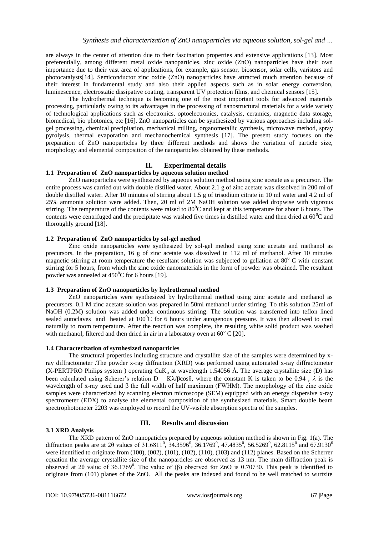are always in the center of attention due to their fascination properties and extensive applications [13]. Most preferentially, among different metal oxide nanoparticles, zinc oxide (ZnO) nanoparticles have their own importance due to their vast area of applications, for example, gas sensor, biosensor, solar cells, varistors and photocatalysts[14]. Semiconductor zinc oxide (ZnO) nanoparticles have attracted much attention because of their interest in fundamental study and also their applied aspects such as in solar energy conversion, luminescence, electrostatic dissipative coating, transparent UV protection films, and chemical sensors [15].

The hydrothermal technique is becoming one of the most important tools for advanced materials processing, particularly owing to its advantages in the processing of nanostructural materials for a wide variety of technological applications such as electronics, optoelectronics, catalysis, ceramics, magnetic data storage, biomedical, bio photonics, etc [16]. ZnO nanoparticles can be synthesized by various approaches including solgel processing, chemical precipitation, mechanical milling, organometallic synthesis, microwave method, spray pyrolysis, thermal evaporation and mechanochemical synthesis [17]. The present study focuses on the preparation of ZnO nanoparticles by three different methods and shows the variation of particle size, morphology and elemental composition of the nanoparticles obtained by these methods.

## **II. Experimental details**

### **1.1 Preparation of ZnO nanoparticles by aqueous solution method**

ZnO nanoparticles were synthesized by aqueous solution method using zinc acetate as a precursor. The entire process was carried out with double distilled water. About 2.1 g of zinc acetate was dissolved in 200 ml of double distilled water. After 10 minutes of stirring about 1.5 g of trisodium citrate in 10 ml water and 4.2 ml of 25% ammonia solution were added. Then, 20 ml of 2M NaOH solution was added dropwise with vigorous stirring. The temperature of the contents were raised to  $80^{\circ}$ C and kept at this temperature for about 6 hours. The contents were centrifuged and the precipitate was washed five times in distilled water and then dried at  $60^{\circ}$ C and thoroughly ground [18].

#### **1.2 Preparation of ZnO nanoparticles by sol-gel method**

Zinc oxide nanoparticles were synthesized by sol-gel method using zinc acetate and methanol as precursors. In the preparation, 16 g of zinc acetate was dissolved in 112 ml of methanol. After 10 minutes magnetic stirring at room temperature the resultant solution was subjected to gellation at  $80^\circ$  C with constant stirring for 5 hours, from which the zinc oxide nanomaterials in the form of powder was obtained. The resultant powder was annealed at  $450^{\circ}$ C for 6 hours [19].

#### **1.3 Preparation of ZnO nanoparticles by hydrothermal method**

ZnO nanoparticles were synthesized by hydrothermal method using zinc acetate and methanol as precursors. 0.1 M zinc acetate solution was prepared in 50ml methanol under stirring. To this solution 25ml of NaOH (0.2M) solution was added under continuous stirring. The solution was transferred into teflon lined sealed autoclaves and heated at  $100^{\circ}$ C for 6 hours under autogenous pressure. It was then allowed to cool naturally to room temperature. After the reaction was complete, the resulting white solid product was washed with methanol, filtered and then dried in air in a laboratory oven at  $60^{\circ}$  C [20].

#### **1.4 Characterization of synthesized nanoparticles**

The structural properties including structure and crystallite size of the samples were determined by xray diffractometer .The powder x-ray diffraction (XRD) was performed using automated x-ray diffractometer (X-PERTPRO Philips system ) operating  $CuK_a$  at wavelength 1.54056 Å. The average crystallite size (D) has been calculated using Scherer's relation  $D = K\lambda/\beta cos\theta$ , where the constant K is taken to be 0.94,  $\lambda$  is the wavelength of x-ray used and β the full width of half maximum (FWHM). The morphology of the zinc oxide samples were characterized by scanning electron microscope (SEM) equipped with an energy dispersive x-ray spectrometer (EDX) to analyse the elemental composition of the synthesized materials. Smart double beam spectrophotometer 2203 was employed to record the UV-visible absorption spectra of the samples.

#### **3.1 XRD Analysis**

## **III. Results and discussion**

The XRD pattern of ZnO nanopaticles prepared by aqueous solution method is shown in Fig. 1(a). The diffraction peaks are at 20 values of 31.6811<sup>0</sup>, 34.3596<sup>0</sup>, 36.1769<sup>0</sup>, 47.4835<sup>0</sup>, 56.5269<sup>0</sup>, 62.8115<sup>0</sup> and 67.9130<sup>0</sup> were identified to originate from (100), (002), (101), (102), (110), (103) and (112) planes. Based on the Scherrer equation the average crystallite size of the nanoparticles are observed as 13 nm. The main diffraction peak is observed at 2θ value of 36.1769<sup>0</sup>. The value of (β) observed for ZnO is 0.70730. This peak is identified to originate from (101) planes of the ZnO. All the peaks are indexed and found to be well matched to wurtzite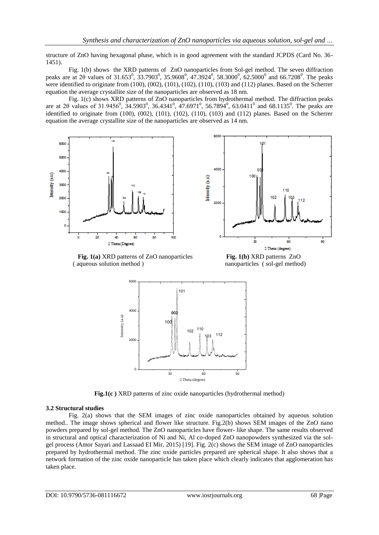structure of ZnO having hexagonal phase, which is in good agreement with the standard JCPDS (Card No. 36- 1451).

Fig. 1(b) showsthe XRD patterns of ZnO nanoparticles from Sol-gel method. The seven diffraction peaks are at 20 values of 31.653<sup>0</sup>, 33.7903<sup>0</sup>, 35.9608<sup>0</sup>, 47.3924<sup>0</sup>, 58.3000<sup>0</sup>, 62.5000<sup>0</sup> and 66.7208<sup>0</sup>. The peaks were identified to originate from (100), (002), (101), (102), (110), (103) and (112) planes. Based on the Scherrer equation the average crystallite size of the nanoparticles are observed as 18 nm.

Fig. 1(c) shows XRD patterns of ZnO nanoparticles from hydrothermal method. The diffraction peaks are at 20 values of 31.9456<sup>0</sup>, 34.5903<sup>0</sup>, 36.4341<sup>0</sup>, 47.6971<sup>0</sup>, 56.7894<sup>0</sup>, 63.0411<sup>0</sup> and 68.1135<sup>0</sup>. The peaks are identified to originate from (100), (002), (101), (102), (110), (103) and (112) planes. Based on the Scherrer equation the average crystallite size of the nanoparticles are observed as 14 nm.









**Fig.1(c )** XRD patterns of zinc oxide nanoparticles (hydrothermal method)

#### **3.2 Structural studies**

Fig. 2(a) shows that the SEM images of zinc oxide nanoparticles obtained by aqueous solution method.. The image shows spherical and flower like structure. Fig.2(b) shows SEM images of the ZnO nano powders prepared by sol-gel method. The ZnO nanoparticles have flower- like shape. The same results observed in structural and optical characterization of Ni and Ni, Al co-doped ZnO nanopowders synthesized via the solgel process (Amor Sayari and Lassaad EI Mir, 2015) [19]. Fig. 2(c) shows the SEM image of ZnO nanoparticles prepared by hydrothermal method. The zinc oxide particles prepared are spherical shape. It also shows that a network formation of the zinc oxide nanoparticle has taken place which clearly indicates that agglomeration has taken place.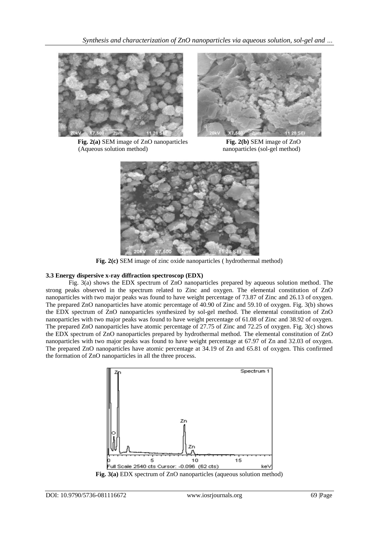

**Fig. 2(a)** SEM image of ZnO nanoparticles **Fig. 2(b)** SEM image of ZnO (Aqueous solution method) nanoparticles (sol-gel method)





**Fig. 2(c)** SEM image of zinc oxide nanoparticles ( hydrothermal method)

## **3.3 Energy dispersive x-ray diffraction spectroscop (EDX)**

Fig. 3(a) shows the EDX spectrum of ZnO nanoparticles prepared by aqueous solution method. The strong peaks observed in the spectrum related to Zinc and oxygen. The elemental constitution of ZnO nanoparticles with two major peaks was found to have weight percentage of 73.87 of Zinc and 26.13 of oxygen. The prepared ZnO nanoparticles have atomic percentage of 40.90 of Zinc and 59.10 of oxygen. Fig. 3(b) shows the EDX spectrum of ZnO nanoparticles synthesized by sol-gel method. The elemental constitution of ZnO nanoparticles with two major peaks was found to have weight percentage of 61.08 of Zinc and 38.92 of oxygen. The prepared ZnO nanoparticles have atomic percentage of 27.75 of Zinc and 72.25 of oxygen. Fig. 3(c) shows the EDX spectrum of ZnO nanoparticles prepared by hydrothermal method. The elemental constitution of ZnO nanoparticles with two major peaks was found to have weight percentage at 67.97 of Zn and 32.03 of oxygen. The prepared ZnO nanoparticles have atomic percentage at 34.19 of Zn and 65.81 of oxygen. This confirmed the formation of ZnO nanoparticles in all the three process.



**Fig. 3(a)** EDX spectrum of ZnO nanoparticles (aqueous solution method)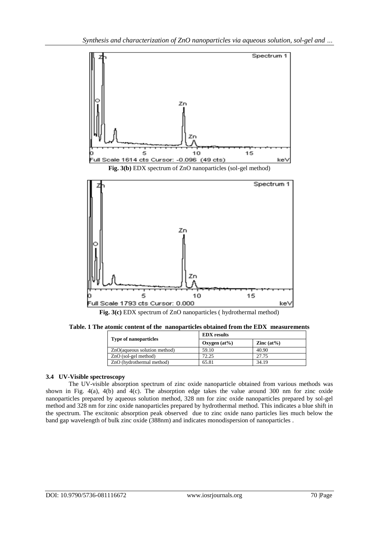



**Fig. 3(c)** EDX spectrum of ZnO nanoparticles ( hydrothermal method)

**Table. 1 The atomic content of the nanoparticles obtained from the EDX measurements**

| <b>Type of nanoparticles</b> | <b>EDX</b> results |               |
|------------------------------|--------------------|---------------|
|                              | Oxygen $(at\%)$    | Zinc $(at\%)$ |
| ZnO(aqueous solution method) | 59.10              | 40.90         |
| $ZnO$ (sol-gel method)       | 72.25              | 27.75         |
| ZnO (hydrothermal method)    | 65.81              | 34.19         |

### **3.4 UV-Visible spectroscopy**

The UV-visible absorption spectrum of zinc oxide nanoparticle obtained from various methods was shown in Fig. 4(a), 4(b) and 4(c). The absorption edge takes the value around 300 nm for zinc oxide nanoparticles prepared by aqueous solution method, 328 nm for zinc oxide nanoparticles prepared by sol-gel method and 328 nm for zinc oxide nanoparticles prepared by hydrothermal method. This indicates a blue shift in the spectrum. The excitonic absorption peak observed due to zinc oxide nano particles lies much below the band gap wavelength of bulk zinc oxide (388nm) and indicates monodispersion of nanoparticles .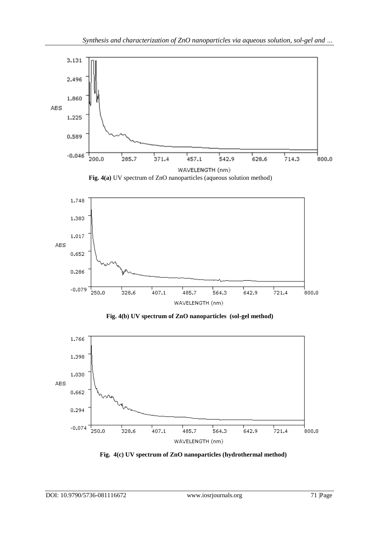



 **Fig. 4(b) UV spectrum of ZnO nanoparticles (sol-gel method)**



 **Fig. 4(c) UV spectrum of ZnO nanoparticles (hydrothermal method)**